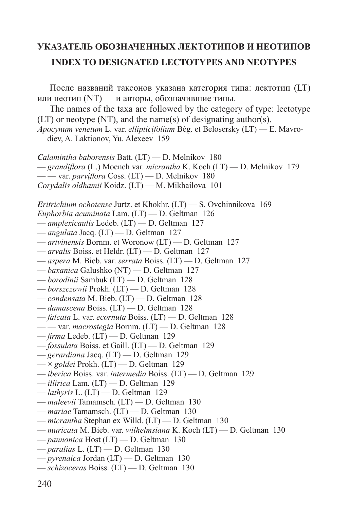## **УКАЗАТЕЛЬ ОБОЗНАЧЕННЫХ ЛЕКТОТИПОВ И НЕОТИПОВ INDEX TO DESIGNATED LECTOTYPES AND NEOTYPES**

После названий таксонов указана категория типа: лектотип (LT) или неотип (NT) — и авторы, обозначившие типы. The names of the taxa are followed by the category of type: lectotype (LT) or neotype (NT), and the name(s) of designating author(s). *Apocynum venetum* L. var. *ellipticifolium* Bég. et Belosersky (LT) — E. Mavrodiev, A. Laktionov, Yu. Alexeev 159 *Calamintha baborensis* Batt. (LT) — D. Melnikov 180 — *grandifl ora* (L.) Moench var. *micrantha* K. Koch (LT) — D. Melnikov 179 — — var. *parviflora* Coss. (LT) — D. Melnikov 180 *Corydalis oldhamii* Koidz. (LT) — M. Mikhailova 101 *Eritrichium ochotense* Jurtz. et Khokhr. (LT) — S. Ovchinnikova 169 *Euphorbia acuminata* Lam. (LT) — D. Geltman 126 — *amplexicaulis* Ledeb. (LT) — D. Geltman 127 — *angulata* Jacq. (LT) — D. Geltman 127 — *artvinensis* Bornm. et Woronow (LT) — D. Geltman 127 — *arvalis* Boiss. et Heldr. (LT) — D. Geltman 127 — *aspera* M. Bieb. var. *serrata* Boiss. (LT) — D. Geltman 127 — *baxanica* Galushko (NT) — D. Geltman 127 — *borodinii* Sambuk (LT) — D. Geltman 128 — *borszczowii* Prokh. (LT) — D. Geltman 128 — *condensata* M. Bieb. (LT) — D. Geltman 128 — *damascena* Boiss. (LT) — D. Geltman 128 — *falcata* L. var. *ecornuta* Boiss. (LT) — D. Geltman 128 — — var. *macrostegia* Bornm. (LT) — D. Geltman 128 — *fi rma* Ledeb. (LT) — D. Geltman 129 — *fossulata* Boiss. et Gaill. (LT) — D. Geltman 129 — *gerardiana* Jacq. (LT) — D. Geltman 129 — × *goldei* Prokh. (LT) — D. Geltman 129 — *iberica* Boiss. var. *intermedia* Boiss. (LT) — D. Geltman 129 — *illirica* Lam. (LT) — D. Geltman 129 — *lathyris* L. (LT) — D. Geltman 129 — *maleevii* Tamamsch. (LT) — D. Geltman 130

- *mariae* Tamamsch. (LT) D. Geltman 130
- *micrantha* Stephan ex Willd. (LT) D. Geltman 130
- *muricata* M. Bieb. var. *wilhelmsiana* K. Koch (LT) D. Geltman 130
- *pannonica* Host (LT) D. Geltman 130
- *paralias* L. (LT) D. Geltman 130
- *pyrenaica* Jordan (LT) D. Geltman 130
- *schizoceras* Boiss. (LT) D. Geltman 130